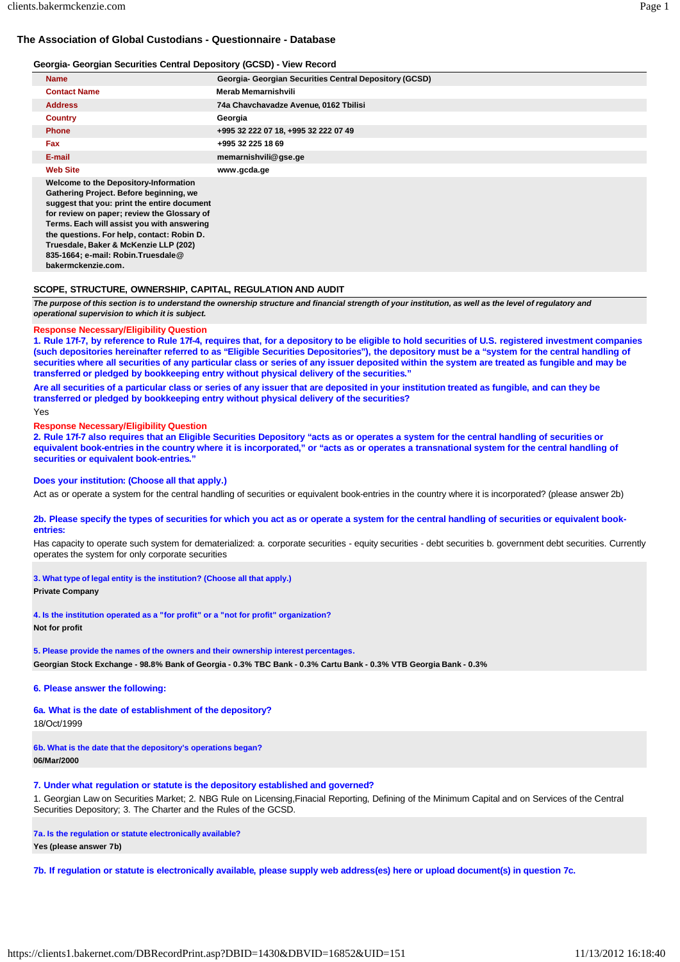# **The Association of Global Custodians - Questionnaire - Database**

#### **Georgia- Georgian Securities Central Depository (GCSD) - View Record**

| <b>Name</b>                                                                                                                                                                                                                                                                                                                                                                     | Georgia- Georgian Securities Central Depository (GCSD) |
|---------------------------------------------------------------------------------------------------------------------------------------------------------------------------------------------------------------------------------------------------------------------------------------------------------------------------------------------------------------------------------|--------------------------------------------------------|
| <b>Contact Name</b>                                                                                                                                                                                                                                                                                                                                                             | Merab Memarnishvili                                    |
| <b>Address</b>                                                                                                                                                                                                                                                                                                                                                                  | 74a Chavchavadze Avenue, 0162 Tbilisi                  |
| <b>Country</b>                                                                                                                                                                                                                                                                                                                                                                  | Georgia                                                |
| <b>Phone</b>                                                                                                                                                                                                                                                                                                                                                                    | +995 32 222 07 18, +995 32 222 07 49                   |
| <b>Fax</b>                                                                                                                                                                                                                                                                                                                                                                      | +995 32 225 18 69                                      |
| E-mail                                                                                                                                                                                                                                                                                                                                                                          | memarnishvili@gse.ge                                   |
| <b>Web Site</b>                                                                                                                                                                                                                                                                                                                                                                 | www.gcda.ge                                            |
| Welcome to the Depository-Information<br>Gathering Project. Before beginning, we<br>suggest that you: print the entire document<br>for review on paper; review the Glossary of<br>Terms. Each will assist you with answering<br>the questions. For help, contact: Robin D.<br>Truesdale, Baker & McKenzie LLP (202)<br>835-1664; e-mail: Robin.Truesdale@<br>bakermckenzie.com. |                                                        |

# **SCOPE, STRUCTURE, OWNERSHIP, CAPITAL, REGULATION AND AUDIT**

The purpose of this section is to understand the ownership structure and financial strength of your institution, as well as the level of regulatory and *operational supervision to which it is subject.*

#### **Response Necessary/Eligibility Question**

1. Rule 17f-7, by reference to Rule 17f-4, requires that, for a depository to be eligible to hold securities of U.S. registered investment companies (such depositories hereinafter referred to as "Eligible Securities Depositories"), the depository must be a "system for the central handling of securities where all securities of any particular class or series of any issuer deposited within the system are treated as fungible and may be **transferred or pledged by bookkeeping entry without physical delivery of the securities."**

Are all securities of a particular class or series of any issuer that are deposited in your institution treated as fungible, and can they be **transferred or pledged by bookkeeping entry without physical delivery of the securities?**

```
Yes
```
#### **Response Necessary/Eligibility Question**

2. Rule 17f-7 also requires that an Eligible Securities Depository "acts as or operates a system for the central handling of securities or equivalent book-entries in the country where it is incorporated," or "acts as or operates a transnational system for the central handling of **securities or equivalent book-entries."**

## **Does your institution: (Choose all that apply.)**

Act as or operate a system for the central handling of securities or equivalent book-entries in the country where it is incorporated? (please answer 2b)

#### 2b. Please specify the types of securities for which you act as or operate a system for the central handling of securities or equivalent book**entries:**

Has capacity to operate such system for dematerialized: a. corporate securities - equity securities - debt securities b. government debt securities. Currently operates the system for only corporate securities

**3. What type of legal entity is the institution? (Choose all that apply.)**

**Private Company**

**4. Is the institution operated as a "for profit" or a "not for profit" organization?**

**Not for profit**

**5. Please provide the names of the owners and their ownership interest percentages. Georgian Stock Exchange - 98.8% Bank of Georgia - 0.3% TBC Bank - 0.3% Cartu Bank - 0.3% VTB Georgia Bank - 0.3%**

**6. Please answer the following:**

**6a. What is the date of establishment of the depository?** 18/Oct/1999

**6b. What is the date that the depository's operations began? 06/Mar/2000**

**7. Under what regulation or statute is the depository established and governed?**

1. Georgian Law on Securities Market; 2. NBG Rule on Licensing,Finacial Reporting, Defining of the Minimum Capital and on Services of the Central Securities Depository; 3. The Charter and the Rules of the GCSD.

**7a. Is the regulation or statute electronically available?**

**Yes (please answer 7b)**

**7b. If regulation or statute is electronically available, please supply web address(es) here or upload document(s) in question 7c.**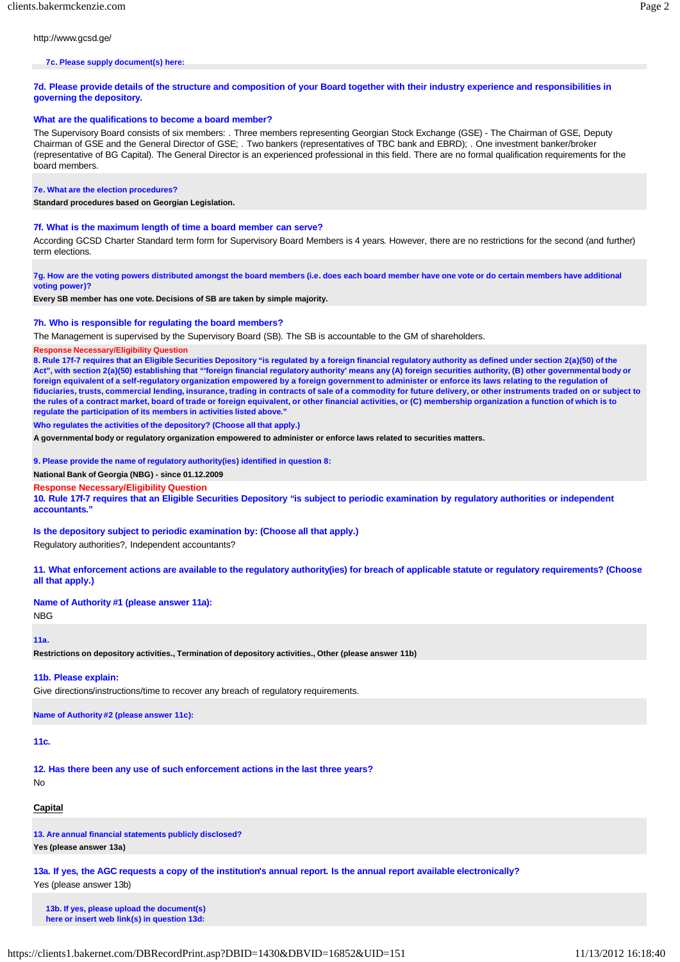http://www.gcsd.ge/

#### **7c. Please supply document(s) here:**

7d. Please provide details of the structure and composition of your Board together with their industry experience and responsibilities in **governing the depository.**

# **What are the qualifications to become a board member?**

The Supervisory Board consists of six members: . Three members representing Georgian Stock Exchange (GSE) - The Chairman of GSE, Deputy Chairman of GSE and the General Director of GSE; . Two bankers (representatives of TBC bank and EBRD); . One investment banker/broker (representative of BG Capital). The General Director is an experienced professional in this field. There are no formal qualification requirements for the board members.

#### **7e. What are the election procedures?**

**Standard procedures based on Georgian Legislation.**

# **7f. What is the maximum length of time a board member can serve?**

According GCSD Charter Standard term form for Supervisory Board Members is 4 years. However, there are no restrictions for the second (and further) term elections.

7g. How are the voting powers distributed amongst the board members (i.e. does each board member have one vote or do certain members have additional **voting power)?**

**Every SB member has one vote. Decisions of SB are taken by simple majority.**

#### **7h. Who is responsible for regulating the board members?**

The Management is supervised by the Supervisory Board (SB). The SB is accountable to the GM of shareholders.

#### **Response Necessary/Eligibility Question**

8. Rule 17f-7 requires that an Eligible Securities Depository "is regulated by a foreign financial regulatory authority as defined under section 2(a)(50) of the **Act", with section 2(a)(50) establishing that "'foreign financial regulatory authority' means any (A) foreign securities authority, (B) other governmental body or**  foreign equivalent of a self-regulatory organization empowered by a foreign government to administer or enforce its laws relating to the regulation of fiduciaries, trusts, commercial lending, insurance, trading in contracts of sale of a commodity for future delivery, or other instruments traded on or subject to the rules of a contract market, board of trade or foreign equivalent, or other financial activities, or (C) membership organization a function of which is to **regulate the participation of its members in activities listed above."**

# **Who regulates the activities of the depository? (Choose all that apply.)**

**A governmental body or regulatory organization empowered to administer or enforce laws related to securities matters.**

**9. Please provide the name of regulatory authority(ies) identified in question 8:**

**National Bank of Georgia (NBG) - since 01.12.2009**

### **Response Necessary/Eligibility Question**

10. Rule 17f-7 requires that an Eligible Securities Depository "is subject to periodic examination by regulatory authorities or independent **accountants."**

**Is the depository subject to periodic examination by: (Choose all that apply.)**

Regulatory authorities?, Independent accountants?

11. What enforcement actions are available to the regulatory authority(ies) for breach of applicable statute or regulatory requirements? (Choose **all that apply.)**

# **Name of Authority #1 (please answer 11a):**

NBG

# **11a.**

**Restrictions on depository activities., Termination of depository activities., Other (please answer 11b)**

## **11b. Please explain:**

Give directions/instructions/time to recover any breach of regulatory requirements.

**Name of Authority #2 (please answer 11c):**

## **11c.**

**12. Has there been any use of such enforcement actions in the last three years?**

No

# **Capital**

**13. Are annual financial statements publicly disclosed?**

**Yes (please answer 13a)**

**13a. If yes, the AGC requests a copy of the institution's annual report. Is the annual report available electronically?** Yes (please answer 13b)

**13b. If yes, please upload the document(s) here or insert web link(s) in question 13d:**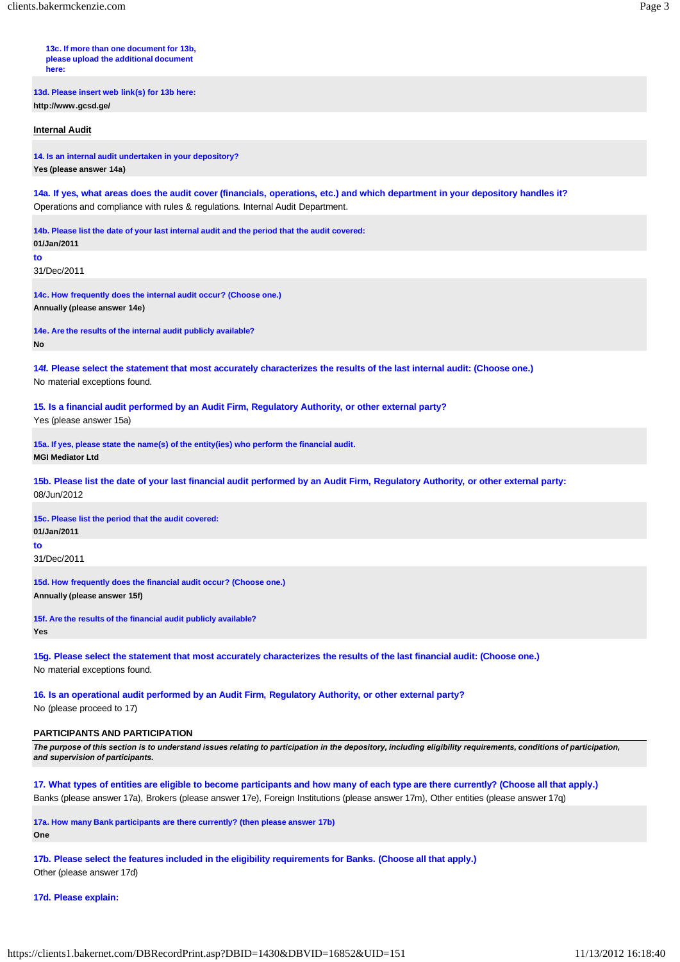**13c. If more than one document for 13b, please upload the additional document here:**

**13d. Please insert web link(s) for 13b here: http://www.gcsd.ge/**

**Internal Audit**

**14. Is an internal audit undertaken in your depository? Yes (please answer 14a)**

**14a. If yes, what areas does the audit cover (financials, operations, etc.) and which department in your depository handles it?** Operations and compliance with rules & regulations. Internal Audit Department.

**14b. Please list the date of your last internal audit and the period that the audit covered: 01/Jan/2011**

**to**

31/Dec/2011

**14c. How frequently does the internal audit occur? (Choose one.) Annually (please answer 14e)**

**14e. Are the results of the internal audit publicly available? No**

**14f. Please select the statement that most accurately characterizes the results of the last internal audit: (Choose one.)** No material exceptions found.

**15. Is a financial audit performed by an Audit Firm, Regulatory Authority, or other external party?** Yes (please answer 15a)

**15a. If yes, please state the name(s) of the entity(ies) who perform the financial audit. MGI Mediator Ltd**

15b. Please list the date of your last financial audit performed by an Audit Firm, Regulatory Authority, or other external party: 08/Jun/2012

**15c. Please list the period that the audit covered: 01/Jan/2011**

**to**

31/Dec/2011

**15d. How frequently does the financial audit occur? (Choose one.) Annually (please answer 15f)**

**15f. Are the results of the financial audit publicly available? Yes**

**15g. Please select the statement that most accurately characterizes the results of the last financial audit: (Choose one.)** No material exceptions found.

**16. Is an operational audit performed by an Audit Firm, Regulatory Authority, or other external party?**

No (please proceed to 17)

# **PARTICIPANTS AND PARTICIPATION**

The purpose of this section is to understand issues relating to participation in the depository, including eligibility requirements, conditions of participation, *and supervision of participants.*

17. What types of entities are eligible to become participants and how many of each type are there currently? (Choose all that apply.) Banks (please answer 17a), Brokers (please answer 17e), Foreign Institutions (please answer 17m), Other entities (please answer 17q)

**17a. How many Bank participants are there currently? (then please answer 17b) One**

**17b. Please select the features included in the eligibility requirements for Banks. (Choose all that apply.)** Other (please answer 17d)

**17d. Please explain:**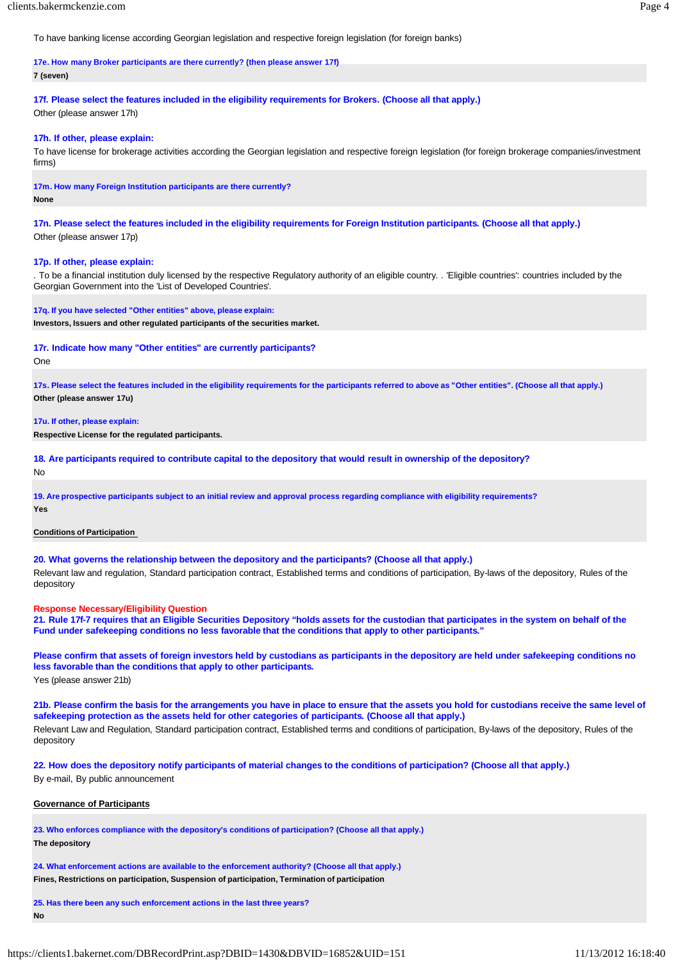To have banking license according Georgian legislation and respective foreign legislation (for foreign banks)

# **17e. How many Broker participants are there currently? (then please answer 17f)**

#### **7 (seven)**

**17f. Please select the features included in the eligibility requirements for Brokers. (Choose all that apply.)** Other (please answer 17h)

#### **17h. If other, please explain:**

To have license for brokerage activities according the Georgian legislation and respective foreign legislation (for foreign brokerage companies/investment firms)

**17m. How many Foreign Institution participants are there currently?**

**None**

17n. Please select the features included in the eligibility requirements for Foreign Institution participants. (Choose all that apply.) Other (please answer 17p)

#### **17p. If other, please explain:**

. To be a financial institution duly licensed by the respective Regulatory authority of an eligible country. . 'Eligible countries': countries included by the Georgian Government into the 'List of Developed Countries'.

**17q. If you have selected "Other entities" above, please explain:**

**Investors, Issuers and other regulated participants of the securities market.**

#### **17r. Indicate how many "Other entities" are currently participants?**

One

**17s. Please select the features included in the eligibility requirements for the participants referred to above as "Other entities". (Choose all that apply.) Other (please answer 17u)**

**17u. If other, please explain:**

**Respective License for the regulated participants.**

**18. Are participants required to contribute capital to the depository that would result in ownership of the depository?** No

**19. Are prospective participants subject to an initial review and approval process regarding compliance with eligibility requirements? Yes**

#### **Conditions of Participation**

**20. What governs the relationship between the depository and the participants? (Choose all that apply.)**

Relevant law and regulation, Standard participation contract, Established terms and conditions of participation, By-laws of the depository, Rules of the depository

#### **Response Necessary/Eligibility Question**

21. Rule 17f-7 requires that an Eligible Securities Depository "holds assets for the custodian that participates in the system on behalf of the **Fund under safekeeping conditions no less favorable that the conditions that apply to other participants."**

Please confirm that assets of foreign investors held by custodians as participants in the depository are held under safekeeping conditions no **less favorable than the conditions that apply to other participants.** Yes (please answer 21b)

21b. Please confirm the basis for the arrangements you have in place to ensure that the assets you hold for custodians receive the same level of **safekeeping protection as the assets held for other categories of participants. (Choose all that apply.)** Relevant Law and Regulation, Standard participation contract, Established terms and conditions of participation, By-laws of the depository, Rules of the depository

22. How does the depository notify participants of material changes to the conditions of participation? (Choose all that apply.) By e-mail, By public announcement

# **Governance of Participants**

**23. Who enforces compliance with the depository's conditions of participation? (Choose all that apply.) The depository**

**24. What enforcement actions are available to the enforcement authority? (Choose all that apply.) Fines, Restrictions on participation, Suspension of participation, Termination of participation**

**25. Has there been any such enforcement actions in the last three years? No**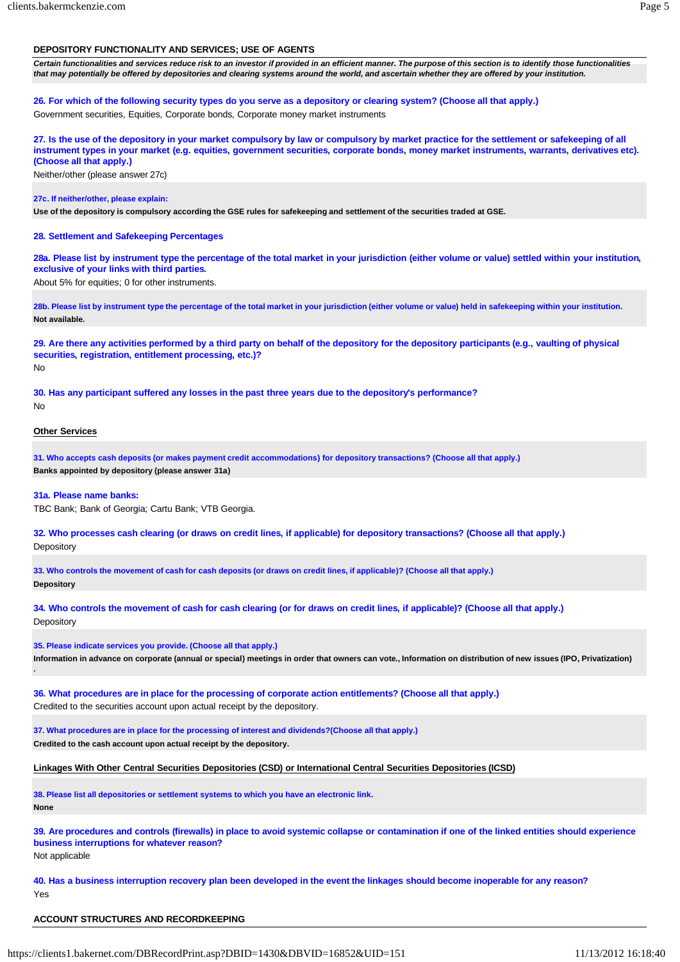# **DEPOSITORY FUNCTIONALITY AND SERVICES; USE OF AGENTS**

Certain functionalities and services reduce risk to an investor if provided in an efficient manner. The purpose of this section is to identify those functionalities *that may potentially be offered by depositories and clearing systems around the world, and ascertain whether they are offered by your institution.*

**26. For which of the following security types do you serve as a depository or clearing system? (Choose all that apply.)** Government securities, Equities, Corporate bonds, Corporate money market instruments

27. Is the use of the depository in your market compulsory by law or compulsory by market practice for the settlement or safekeeping of all instrument types in your market (e.g. equities, government securities, corporate bonds, money market instruments, warrants, derivatives etc). **(Choose all that apply.)**

Neither/other (please answer 27c)

# **27c. If neither/other, please explain:**

**Use of the depository is compulsory according the GSE rules for safekeeping and settlement of the securities traded at GSE.**

# **28. Settlement and Safekeeping Percentages**

28a. Please list by instrument type the percentage of the total market in your jurisdiction (either volume or value) settled within your institution, **exclusive of your links with third parties.**

About 5% for equities; 0 for other instruments.

**28b. Please list by instrument type the percentage of the total market in your jurisdiction (either volume or value) held in safekeeping within your institution. Not available.**

29. Are there any activities performed by a third party on behalf of the depository for the depository participants (e.g., vaulting of physical **securities, registration, entitlement processing, etc.)?** No

**30. Has any participant suffered any losses in the past three years due to the depository's performance?** No

# **Other Services**

**.**

**31. Who accepts cash deposits (or makes payment credit accommodations) for depository transactions? (Choose all that apply.) Banks appointed by depository (please answer 31a)**

**31a. Please name banks:**

TBC Bank; Bank of Georgia; Cartu Bank; VTB Georgia.

**32. Who processes cash clearing (or draws on credit lines, if applicable) for depository transactions? (Choose all that apply.) Depository** 

**33. Who controls the movement of cash for cash deposits (or draws on credit lines, if applicable)? (Choose all that apply.) Depository**

**34. Who controls the movement of cash for cash clearing (or for draws on credit lines, if applicable)? (Choose all that apply.) Depository** 

**35. Please indicate services you provide. (Choose all that apply.) Information in advance on corporate (annual or special) meetings in order that owners can vote., Information on distribution of new issues (IPO, Privatization)**

**36. What procedures are in place for the processing of corporate action entitlements? (Choose all that apply.)** Credited to the securities account upon actual receipt by the depository.

**37. What procedures are in place for the processing of interest and dividends?(Choose all that apply.) Credited to the cash account upon actual receipt by the depository.**

**Linkages With Other Central Securities Depositories (CSD) or International Central Securities Depositories (ICSD)**

**38. Please list all depositories or settlement systems to which you have an electronic link. None**

39. Are procedures and controls (firewalls) in place to avoid systemic collapse or contamination if one of the linked entities should experience **business interruptions for whatever reason?** Not applicable

**40. Has a business interruption recovery plan been developed in the event the linkages should become inoperable for any reason?** Yes

# **ACCOUNT STRUCTURES AND RECORDKEEPING**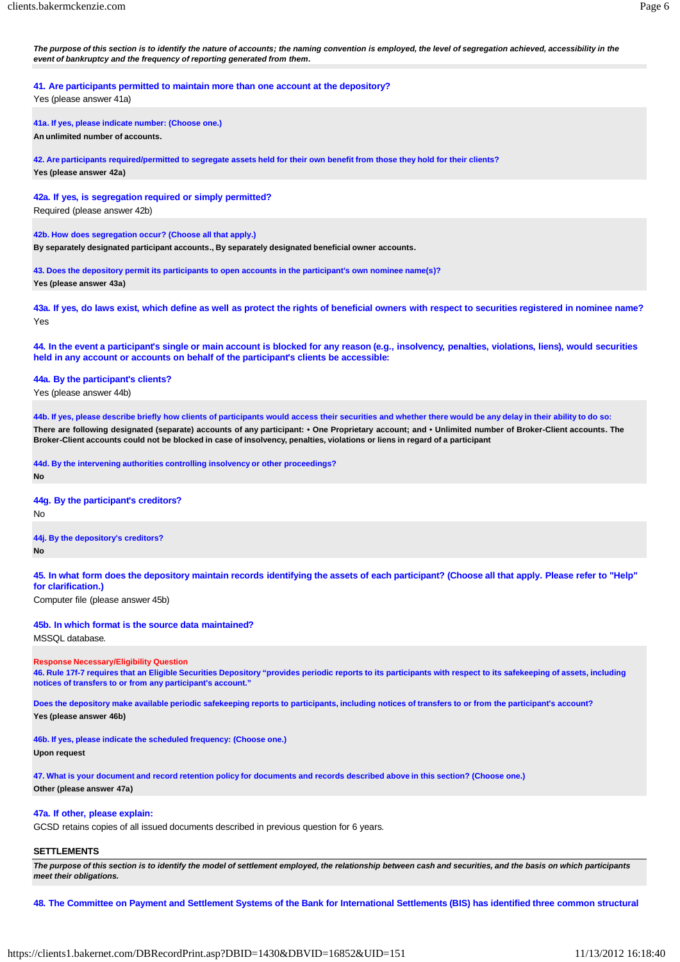**41. Are participants permitted to maintain more than one account at the depository?**

Yes (please answer 41a)

**41a. If yes, please indicate number: (Choose one.) An unlimited number of accounts.**

**42. Are participants required/permitted to segregate assets held for their own benefit from those they hold for their clients? Yes (please answer 42a)**

**42a. If yes, is segregation required or simply permitted?** Required (please answer 42b)

**42b. How does segregation occur? (Choose all that apply.)**

**By separately designated participant accounts., By separately designated beneficial owner accounts.**

**43. Does the depository permit its participants to open accounts in the participant's own nominee name(s)? Yes (please answer 43a)**

43a. If yes, do laws exist, which define as well as protect the rights of beneficial owners with respect to securities registered in nominee name? Yes

44. In the event a participant's single or main account is blocked for any reason (e.g., insolvency, penalties, violations, liens), would securities **held in any account or accounts on behalf of the participant's clients be accessible:**

**44a. By the participant's clients?** Yes (please answer 44b)

44b. If yes, please describe briefly how clients of participants would access their securities and whether there would be any delay in their ability to do so: **There are following designated (separate) accounts of any participant: • One Proprietary account; and • Unlimited number of Broker-Client accounts. The Broker-Client accounts could not be blocked in case of insolvency, penalties, violations or liens in regard of a participant**

**44d. By the intervening authorities controlling insolvency or other proceedings? No**

**44g. By the participant's creditors?**

No

**44j. By the depository's creditors?**

**No**

45. In what form does the depository maintain records identifying the assets of each participant? (Choose all that apply. Please refer to "Help" **for clarification.)**

Computer file (please answer 45b)

#### **45b. In which format is the source data maintained?**

MSSQL database.

#### **Response Necessary/Eligibility Question**

46. Rule 17f-7 requires that an Eligible Securities Depository "provides periodic reports to its participants with respect to its safekeeping of assets, including **notices of transfers to or from any participant's account."**

**Does the depository make available periodic safekeeping reports to participants, including notices of transfers to or from the participant's account?**

**Yes (please answer 46b)**

**46b. If yes, please indicate the scheduled frequency: (Choose one.)**

**Upon request**

**47. What is your document and record retention policy for documents and records described above in this section? (Choose one.) Other (please answer 47a)**

#### **47a. If other, please explain:**

GCSD retains copies of all issued documents described in previous question for 6 years.

#### **SETTLEMENTS**

The purpose of this section is to identify the model of settlement employed, the relationship between cash and securities, and the basis on which participants *meet their obligations.*

48. The Committee on Payment and Settlement Systems of the Bank for International Settlements (BIS) has identified three common structural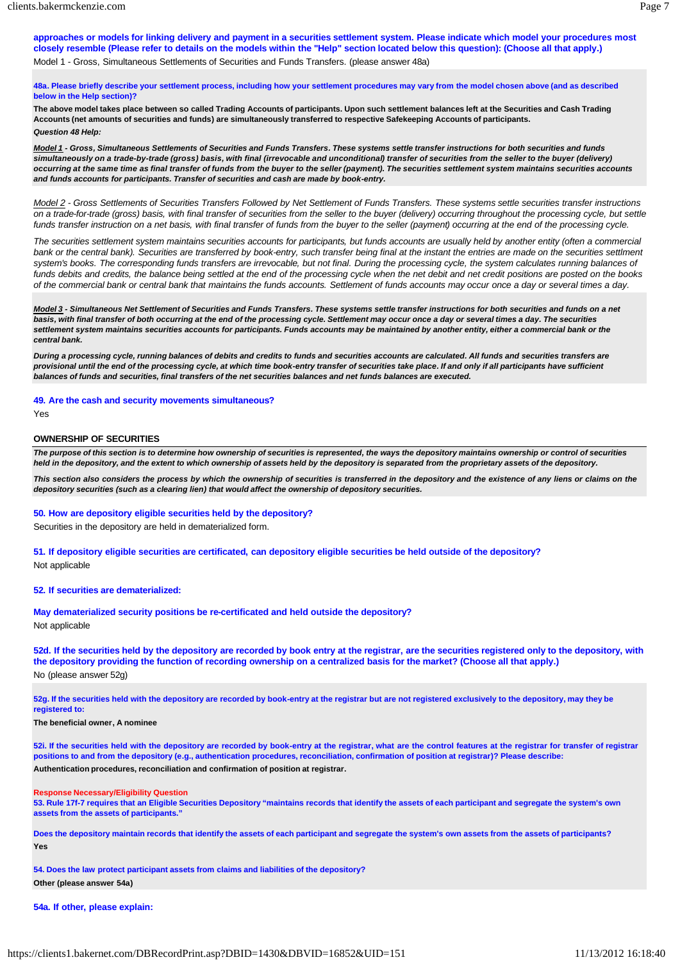# **48a. Please briefly describe your settlement process, including how your settlement procedures may vary from the model chosen above (and as described below in the Help section)?**

**The above model takes place between so called Trading Accounts of participants. Upon such settlement balances left at the Securities and Cash Trading Accounts (net amounts of securities and funds) are simultaneously transferred to respective Safekeeping Accounts of participants.** *Question 48 Help:*

*Model 1 - Gross, Simultaneous Settlements of Securities and Funds Transfers. These systems settle transfer instructions for both securities and funds*  simultaneously on a trade-by-trade (gross) basis, with final (irrevocable and unconditional) transfer of securities from the seller to the buyer (delivery) occurring at the same time as final transfer of funds from the buyer to the seller (payment). The securities settlement system maintains securities accounts *and funds accounts for participants. Transfer of securities and cash are made by book-entry.*

Model 2 - Gross Settlements of Securities Transfers Followed by Net Settlement of Funds Transfers. These systems settle securities transfer instructions on a trade-for-trade (gross) basis, with final transfer of securities from the seller to the buyer (delivery) occurring throughout the processing cycle, but settle *funds transfer instruction on a net basis, with final transfer of funds from the buyer to the seller (payment) occurring at the end of the processing cycle.*

*The securities settlement system maintains securities accounts for participants, but funds accounts are usually held by another entity (often a commercial bank or the central bank). Securities are transferred by book-entry, such transfer being final at the instant the entries are made on the securities settlment system's books. The corresponding funds transfers are irrevocable, but not final. During the processing cycle, the system calculates running balances of*  funds debits and credits, the balance being settled at the end of the processing cycle when the net debit and net credit positions are posted on the books of the commercial bank or central bank that maintains the funds accounts. Settlement of funds accounts may occur once a day or several times a day.

*Model 3 - Simultaneous Net Settlement of Securities and Funds Transfers. These systems settle transfer instructions for both securities and funds on a net* basis, with final transfer of both occurring at the end of the processing cycle. Settlement may occur once a day or several times a day. The securities *settlement system maintains securities accounts for participants. Funds accounts may be maintained by another entity, either a commercial bank or the central bank.*

*During a processing cycle, running balances of debits and credits to funds and securities accounts are calculated. All funds and securities transfers are* provisional until the end of the processing cycle, at which time book-entry transfer of securities take place. If and only if all participants have sufficient *balances of funds and securities, final transfers of the net securities balances and net funds balances are executed.*

# **49. Are the cash and security movements simultaneous?**

Yes

#### **OWNERSHIP OF SECURITIES**

The purpose of this section is to determine how ownership of securities is represented, the ways the depository maintains ownership or control of securities *held in the depository, and the extent to which ownership of assets held by the depository is separated from the proprietary assets of the depository.*

*This section also considers the process by which the ownership of securities is transferred in the depository and the existence of any liens or claims on the depository securities (such as a clearing lien) that would affect the ownership of depository securities.*

#### **50. How are depository eligible securities held by the depository?**

Securities in the depository are held in dematerialized form.

**51. If depository eligible securities are certificated, can depository eligible securities be held outside of the depository?** Not applicable

#### **52. If securities are dematerialized:**

**May dematerialized security positions be re-certificated and held outside the depository?** Not applicable

52d. If the securities held by the depository are recorded by book entry at the registrar, are the securities registered only to the depository, with **the depository providing the function of recording ownership on a centralized basis for the market? (Choose all that apply.)** No (please answer 52g)

**52g. If the securities held with the depository are recorded by book-entry at the registrar but are not registered exclusively to the depository, may they be registered to:**

#### **The beneficial owner, A nominee**

52i. If the securities held with the depository are recorded by book-entry at the registrar, what are the control features at the registrar for transfer of registrar **positions to and from the depository (e.g., authentication procedures, reconciliation, confirmation of position at registrar)? Please describe: Authentication procedures, reconciliation and confirmation of position at registrar.**

#### **Response Necessary/Eligibility Question**

53. Rule 17f-7 requires that an Eligible Securities Depository "maintains records that identify the assets of each participant and segregate the system's own **assets from the assets of participants."**

Does the depository maintain records that identify the assets of each participant and segregate the system's own assets from the assets of participants? **Yes**

**54. Does the law protect participant assets from claims and liabilities of the depository? Other (please answer 54a)**

## **54a. If other, please explain:**